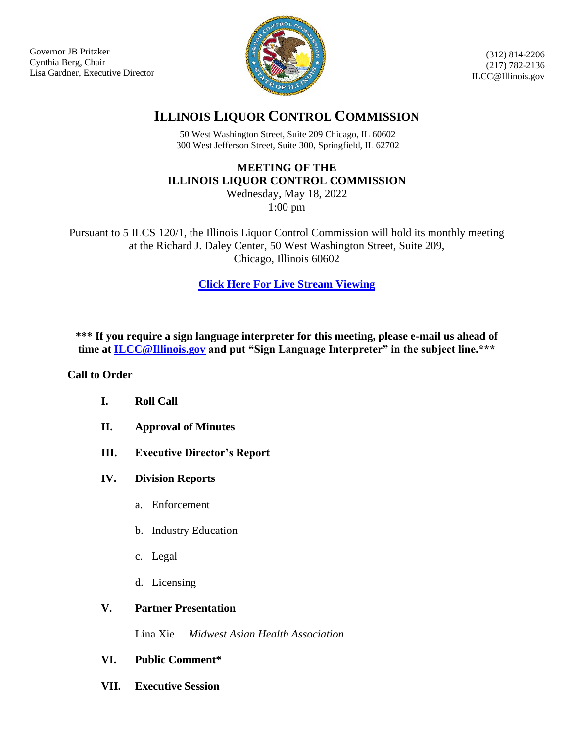Governor JB Pritzker Cynthia Berg, Chair Lisa Gardner, Executive Director



(312) 814-2206 (217) 782-2136 ILCC@Illinois.gov

# **ILLINOIS LIQUOR CONTROL COMMISSION**

50 West Washington Street, Suite 209 Chicago, IL 60602 300 West Jefferson Street, Suite 300, Springfield, IL 62702

## **MEETING OF THE ILLINOIS LIQUOR CONTROL COMMISSION**

Wednesday, May 18, 2022 1:00 pm

Pursuant to 5 ILCS 120/1, the Illinois Liquor Control Commission will hold its monthly meeting at the Richard J. Daley Center, 50 West Washington Street, Suite 209, Chicago, Illinois 60602

**[Click Here For Live Stream](https://multimedia.illinois.gov/lcc/lcc-live.html) Viewing**

\*\*\* If you require a sign language interpreter for this meeting, please e-mail us ahead of **time at [ILCC@Illinois.gov](mailto:ILCC@Illinois.gov) and put "Sign Language Interpreter" in the subject line.\*\*\***

### **Call to Order**

- **I. Roll Call**
- **II. Approval of Minutes**
- **III. Executive Director's Report**
- **IV. Division Reports**
	- a. Enforcement
	- b. Industry Education
	- c. Legal
	- d. Licensing

### **V. Partner Presentation**

Lina Xie – *Midwest Asian Health Association*

- **VI. Public Comment\***
- **VII. Executive Session**